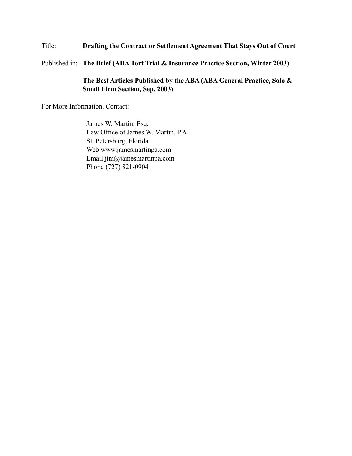Title: **Drafting the Contract or Settlement Agreement That Stays Out of Court**

Published in: **The Brief (ABA Tort Trial & Insurance Practice Section, Winter 2003)**

**The Best Articles Published by the ABA (ABA General Practice, Solo & Small Firm Section, Sep. 2003)**

For More Information, Contact:

James W. Martin, Esq. Law Office of James W. Martin, P.A. St. Petersburg, Florida Web www.jamesmartinpa.com Email jim@jamesmartinpa.com Phone (727) 821-0904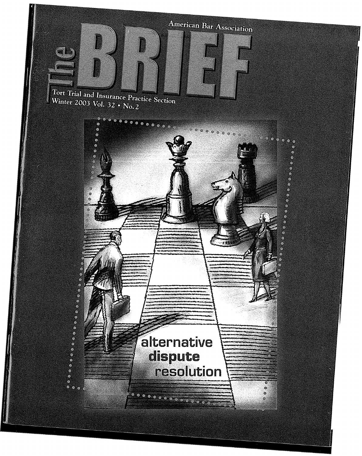

**American Bar Association** 

Tort Trial and Insurance Practice Section Winter 2003 Vol. 32 · No. 2

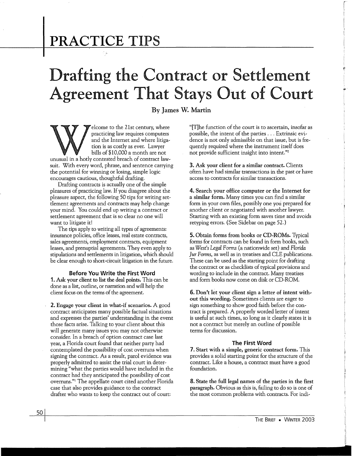## **ACTICE**

# Drafting the Contract or Settlement Agreement **That** Stays Out of Court

**By James W. Martin** 

elcome to the 21st century, where practicing law requires computers and the Internet and where litigation is as costly as ever. Lawyer bills of \$10,000 a month are not unusual in a hotly contested breach of contract lawsuit. With every word, phrase, and sentence carrying the potential for winning or losing, simple logic encourages cautious, thoughtful drafting.

Drafting contracts is actually one of the simple pleasures of practicing law. If you disagree about the pleasure aspect, the following 50 tips for writing settlement agreements and contracts may help change your mind. You could end up writing a contract or settlement agreement that is so clear no one will want to litigate it!

The tips apply to writing all types of agreements: insurance policies, office leases, real estate contracts, sales agreements, employment contracts, equipment leases, and prenuptial agreements. They even apply to stipulations and settlements in litigation, which should be clear enough to short-circuit litigation in the future.

### **Before You Write the First Word**

**1. Ask your client to list the deal points.** This can be done as a list, outline, or narration and will help the client focus on the terms of the agreement.

**2. Engage your client** in **what-if scenarios.** A good contract anticipates many possible factual situations and expresses the parties' understanding in the event those facts arise. Talking to your client about this will generate many issues you may not otherwise consider. In a breach of option contract case last year, a Florida court found that neither party had contemplated the possibility of cost overruns when signing the contract. As a result, parol evidence was properly admitted to assist the trial court in determining "what the parties would have included in the contract had they anticipated the possibility of cost overruns."<sup>1</sup> The appellate court cited another Florida case that also provides guidance to the contract drafter who wants to keep the contract out of court:

"[T]he function of the court is to ascertain, insofar as possible, the intent of the parties ... Extrinsic evidence is not only admissible on that issue, but is frequently required where the instrument itself does not provide sufficient insight into intent."<sup>2</sup>

r

**3. Ask your client for a similar contract.** Clients often have had similar transactions in the past or have access to contracts for similar transactions.

**4. Search your office computer or the Internet for a similar form.** Many times you can find a similar form in your own files, possibly one you prepared for another client or negotiated with another lawyer. Starting with an existing form saves time and avoids retyping errors. (See Sidebar on page 52.)

**5. Obtain forms from books or CD-ROMs.** Typical forms for contracts can be found in form books, such as *West's Legal Forms* (a nationwide set) and *Florida Jur Forms,* as well as in treatises and CLE publications. These can be used as the starting point for drafting the contract or as checklists of typical provisions and wording to include in the contract. Many treatises and form books now come on disk or CD-ROM.

**6. Don't let your client sign a letter of intent without this wording.** Sometimes clients are eager to sign something to show good faith before the contract is prepared. A properly worded letter of intent is useful at such times, so long as it clearly states it is not a contract but merely an outline of possible terms for discussion.

### **The First Word**

**7. Start with a simple, generic contract form.** This provides a solid starting point for the structure of the contract. Like a house, a contract must have a good foundation.

8. State the full legal names of the parties in the first paragraph. Obvious as this is, failing to do so is one of the most common problems with contracts. For indi-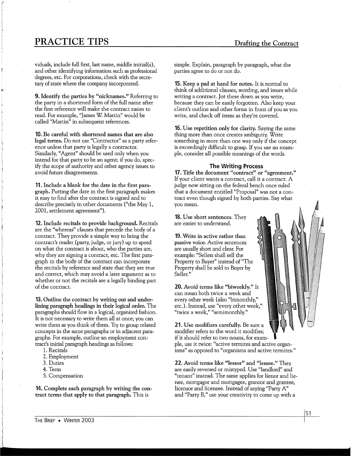### **PRACTICE TIPS**

f

viduals, include full first, last name, middle initial(s), and other identifying information such as professional degrees, etc. For corporations, check with the secretary of state where the company incorporated.

**9. Identify the parties by "nicknames."** Referring to the party in a shortened form of the full name after the first reference **will** make the contract easier to read. For example, "James W. Martin" would be called "Martin" in subsequent references.

**10.** Be careful with shortened names that are also **legal terms.** Do not use "Contractor" as a party reference unless that party is legally a contractor. Similarly, "Agent" should be used only when you intend for that party to be an agent; if you do, specify the scope of authority and other agency issues to avoid future disagreements.

**11.** Include a blank for the date in the first paragraph. Putting the date in the first paragraph makes it easy to find after the contract is signed and to describe precisely in other documents ("the May 1, 2001, settlement agreement").

**12.** Include recitals to provide background. Recitals are the "whereas" clauses that precede the body of a contract. They provide a simple way to bring the contract's reader (party, judge, or jury) up to speed on what the contract is about, who the parties are, why they are signing a contract, etc. The first paragraph in the body of the contract can incorporate the recitals by reference and state that they are true and correct, which may avoid a later argument as to whether or not the recitals are a legally binding part of the contract.

**13.** Outline the contract by writing out and under**lining paragraph headings** in **their logical order.** The paragraphs should flow in a logical, organized fashion. It is not necessary to write them all at once; you can write them as you think of them. Try to group related concepts in the same paragraphs or in adjacent paragraphs. For example, outline an employment contract's initial paragraph headings as follows:

- 1. Recitals
- 2. Employment
- 3. Duties
- 4. Term
- 5. Compensation

**14.** Complete each paragraph by writing the contract terms that apply to that paragraph. This is

simple. Explain, paragraph by paragraph, what the parties agree to do or not do.

**15.** Keep a pad at hand for notes. It is normal to think of additional clauses, wording, and issues while writing a contract. Jot these down as you write, because they can be easily forgotten. Also keep your client's outline and other forms in front of you as you write, and check off items as they're covered.

**16.** Use repetition only for clarity. Saying the same thing more than once creates ambiguity. Write something in more than one way only if the concept is exceedingly difficult to grasp. If you use an example, consider all possible meanings of the words.

### **The Writing Process**

**17.** Title the document "contract" or "agreement." If your client wants a contract, call it a contract. A judge now sitting on the federal bench once ruled that a document entitled "Proposal" was not a contract even though signed by both parties. Say what you mean.

**18.** Use short sentences. They are easier to understand.

**19.** Write in active rather than passive voice. Active sentences are usually short and clear. For example: "Sellers shall sell the Property to Buyer" instead of "The Property shall be sold to Buyer by Seller."

**20.** Avoid terms like "biweekly." It can mean both twice a week and every other week (also "bimonthly," etc.). Instead, use "every other week," "twice a week," "semimonthly."

**21.** Use modifiers carefully. Be sure a modifier refers to the word it modifies; if it should refer to two nouns, for example, use it twice: "active termites and active organisms" as opposed to "organisms and active termites."

**22.** Avoid terms like "lessor" and "lessee." They are easily reversed or mistyped. Use "landlord" and "tenant" instead. The same applies for lienor and lienee, mortgagor and mortgagee, grantor and grantee, licensor and licensee. Instead of saying "Party A" and "Party B," use your creativity to come up with a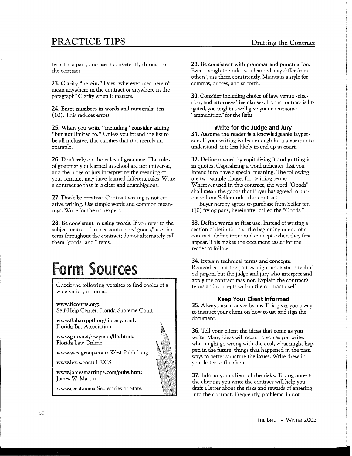## PRACTICE TIPS

r r la companya de la companya de la companya de la companya de la companya de la companya de la companya de la co<br>La companya de la companya de la companya de la companya de la companya de la companya de la companya de la co

term for a party and use it consistently throughout the contract.

**23.** Clarify "herein." Does "wherever used herein" mean anywhere in the contract or anywhere in the paragraph? Clarify when it matters.

**24.** Enter numbers in words and numerals: ten ( 10). This reduces errors.

**25.** When you write "including" consider adding "but not limited to." Unless you intend the list to be all inclusive, this clarifies that it is merely an example.

**26.** Don't rely on the rules of grammar. The rules of grammar you learned in school are not universal, and the judge or jury interpreting the meaning of your contract may have learned different rules. Write a contract so that it is clear and unambiguous.

**27.** Don't be creative. Contract writing is not creative writing. Use simple words and common meanings. Write for the nonexpert.

**28.** Be consistent in using words. If you refer to the subject matter of a sales contract as "goods," use that term throughout the contract; do not alternately call them "goods" and "items."

## Form Sources

Check the following websites to find copies of a wide variety of forms.

**www.flcourts.org:**  Self-Help Center, Florida Supreme Court

**www.flabarrpptl.org/library.html:**  Florida Bar Association

**www.gate.net/~wyman/flo.html:**  Florida Law Online

**www.westgroup.com:** West Publishing

**www.lexis.com:** LEXIS

**www.jamesmartinpa.com/pubs.htm:**  James W. Martin

**www.secst.com:** Secretaries of State

**29.** Be consistent with grammar and punctuation. Even though the rules you learned may differ from others', use them consistently. Maintain a style for commas, quotes, and so forth.

**30.** Consider including choice of law, venue selection, and attorneys' fee clauses. If your contract is litigated, you might as well give your client some "ammunition" for the fight.

### **Write for the Judge and Jury**

**31. Assume the reader is a knowledgeable layperson.** If your writing is clear enough for a layperson to understand, it is less likely to end up in court.

**32. Define a word by capitalizing it and putting it**  in **quotes.** Capitalizing a word indicates that you intend it to have a special meaning. The following are two sample clauses for defining terms: Wherever used in this contract, the word "Goods" shall mean the goods that Buyer has agreed to purchase from Seller under this contract.

Buyer hereby agrees to purchase from Seller ten (10) frying pans, hereinafter called the "Goods."

**33.** Define words at first use. Instead of writing a section of definitions at the beginning or end of a contract, define terms and concepts when they first appear. This makes the document easier for the reader to follow.

**34.** Explain technical terms and concepts. Remember that the parties might understand technical jargon, but the judge and jury who interpret and apply the contract may not. Explain the contract's terms and concepts within the contract itself.

### **Keep Your Client Informed**

**35.** Always use a cover letter. This gives you a way to instruct your client on how to use and sign the document.

**36.** Tell your client the ideas that come as you **write.** Many ideas will occur to you as you write: what might go wrong with the deal, what might happen in the future, things that happened in the past, ways to better structure the issues. Write these in your letter to the client.

**37.** Inform your client of the risks. Taking notes for the client as you write the contract will help you draft a letter about the risks and rewards of entering into the contract. Frequently, problems do not